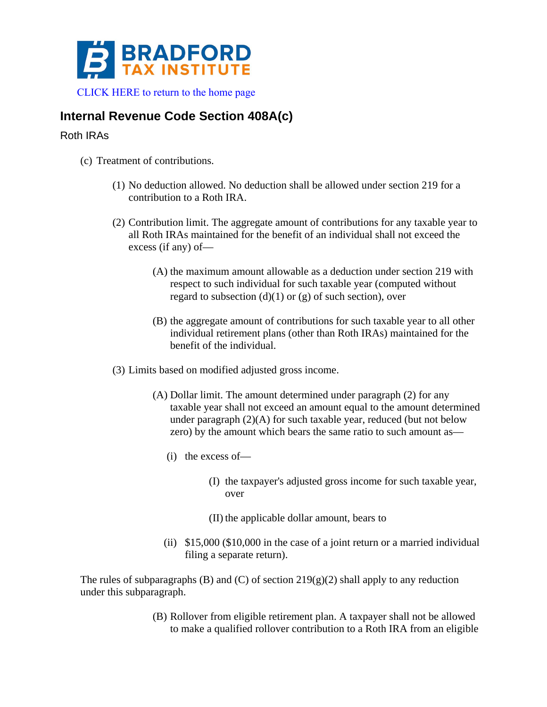

## **Internal Revenue Code Section 408A(c)**

## Roth IRAs

- (c) Treatment of contributions.
	- (1) No deduction allowed. No deduction shall be allowed under section 219 for a contribution to a Roth IRA.
	- (2) Contribution limit. The aggregate amount of contributions for any taxable year to all Roth IRAs maintained for the benefit of an individual shall not exceed the excess (if any) of—
		- (A) the maximum amount allowable as a deduction under section 219 with respect to such individual for such taxable year (computed without regard to subsection  $(d)(1)$  or  $(g)$  of such section), over
		- (B) the aggregate amount of contributions for such taxable year to all other individual retirement plans (other than Roth IRAs) maintained for the benefit of the individual.
	- (3) Limits based on modified adjusted gross income.
		- (A) Dollar limit. The amount determined under paragraph (2) for any taxable year shall not exceed an amount equal to the amount determined under paragraph (2)(A) for such taxable year, reduced (but not below zero) by the amount which bears the same ratio to such amount as—
			- (i) the excess of—
				- (I) the taxpayer's adjusted gross income for such taxable year, over
				- (II) the applicable dollar amount, bears to
			- (ii) \$15,000 (\$10,000 in the case of a joint return or a married individual filing a separate return).

The rules of subparagraphs (B) and (C) of section  $219(g)(2)$  shall apply to any reduction under this subparagraph.

> (B) Rollover from eligible retirement plan. A taxpayer shall not be allowed to make a qualified rollover contribution to a Roth IRA from an eligible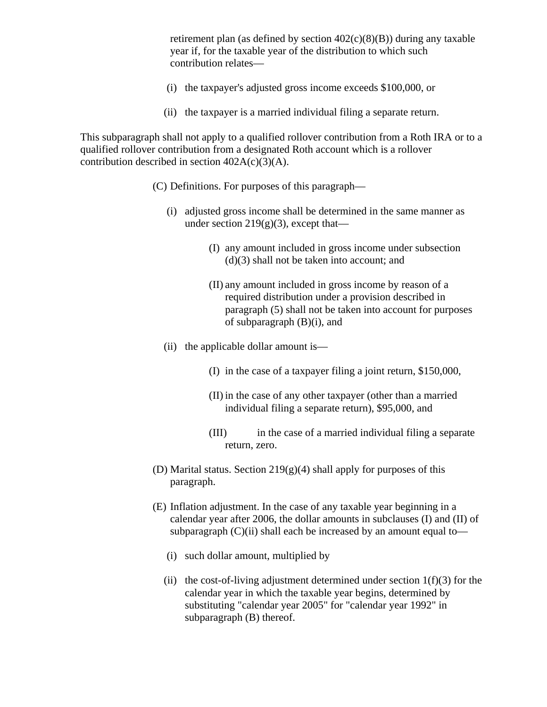retirement plan (as defined by section  $402(c)(8)(B)$ ) during any taxable year if, for the taxable year of the distribution to which such contribution relates—

- (i) the taxpayer's adjusted gross income exceeds \$100,000, or
- (ii) the taxpayer is a married individual filing a separate return.

This subparagraph shall not apply to a qualified rollover contribution from a Roth IRA or to a qualified rollover contribution from a designated Roth account which is a rollover contribution described in section  $402A(c)(3)(A)$ .

- (C) Definitions. For purposes of this paragraph—
	- (i) adjusted gross income shall be determined in the same manner as under section  $219(g)(3)$ , except that—
		- (I) any amount included in gross income under subsection (d)(3) shall not be taken into account; and
		- (II) any amount included in gross income by reason of a required distribution under a provision described in paragraph (5) shall not be taken into account for purposes of subparagraph  $(B)(i)$ , and
	- (ii) the applicable dollar amount is—
		- (I) in the case of a taxpayer filing a joint return, \$150,000,
		- (II) in the case of any other taxpayer (other than a married individual filing a separate return), \$95,000, and
		- (III) in the case of a married individual filing a separate return, zero.
- (D) Marital status. Section  $219(g)(4)$  shall apply for purposes of this paragraph.
- (E) Inflation adjustment. In the case of any taxable year beginning in a calendar year after 2006, the dollar amounts in subclauses (I) and (II) of subparagraph  $(C)(ii)$  shall each be increased by an amount equal to—
	- (i) such dollar amount, multiplied by
	- (ii) the cost-of-living adjustment determined under section  $1(f)(3)$  for the calendar year in which the taxable year begins, determined by substituting "calendar year 2005" for "calendar year 1992" in subparagraph (B) thereof.